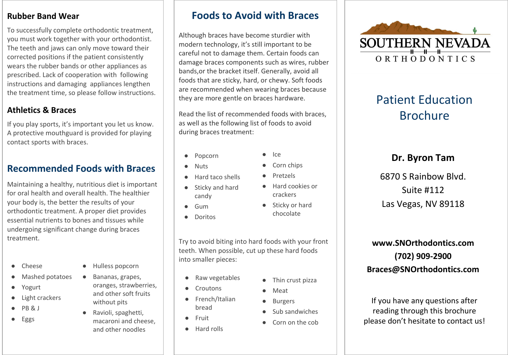#### **Rubber Band Wear**

To successfully complete orthodontic treatment, you must work together with your orthodontist. The teeth and jaws can only move toward their corrected positions if the patient consistently wears the rubber bands or other appliances as prescribed. Lack of cooperation with following instructions and damaging appliances lengthen the treatment time, so please follow instructions.

## **Athletics & Braces**

If you play sports, it's important you let us know. A protective mouthguard is provided for playing contact sports with braces.

# **Recommended Foods with Braces**

Maintaining a healthy, nutritious diet is important for oral health and overall health. The healthier your body is, the better the results of your orthodontic treatment. A proper diet provides essential nutrients to bones and tissues while undergoing significant change during braces treatment.

- Cheese
- Mashed potatoes
- Yogurt
- **Light crackers**
- PB & J
- **Eggs**
- Hulless popcorn
- Bananas, grapes, oranges, strawberries, and other soft fruits without pits
- Ravioli, spaghetti, macaroni and cheese, and other noodles

## **Foods to Avoid with Braces**

Although braces have become sturdier with modern technology, it's still important to be careful not to damage them. Certain foods can damage braces components such as wires, rubber bands,or the bracket itself. Generally, avoid all foods that are sticky, hard, or chewy. Soft foods are recommended when wearing braces because they are more gentle on braces hardware.

Read the list of recommended foods with braces, as well as the following list of foods to avoid during braces treatment:

- Popcorn
- **Nuts**
- Hard taco shells
- Sticky and hard candy
- Gum
- **Doritos**

Try to avoid biting into hard foods with your front teeth. When possible, cut up these hard foods into smaller pieces:

- Raw vegetables
- Croutons
- French/Italian bread
- 
- 
- Ice
	- Corn chips
	- Pretzels
	- Hard cookies or crackers
	- Sticky or hard chocolate

Thin crust pizza

Sub sandwiches Corn on the cob

**Meat Burgers** 



If you have any questions after reading through this brochure please don't hesitate to contact us!



# Patient Education Brochure

## **Dr. Byron Tam**

6870 S Rainbow Blvd. Suite #112 Las Vegas, NV 89118

- -

- 
- 
- 
- Fruit
- Hard rolls